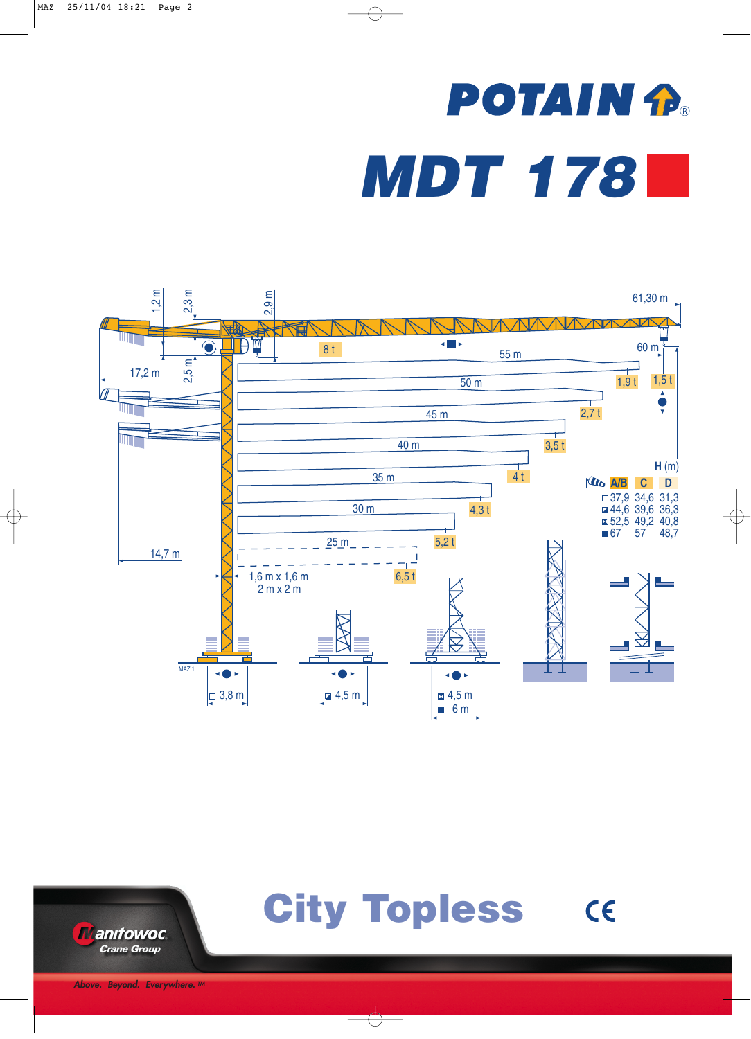## **POTAIN P.** *MDT 178*





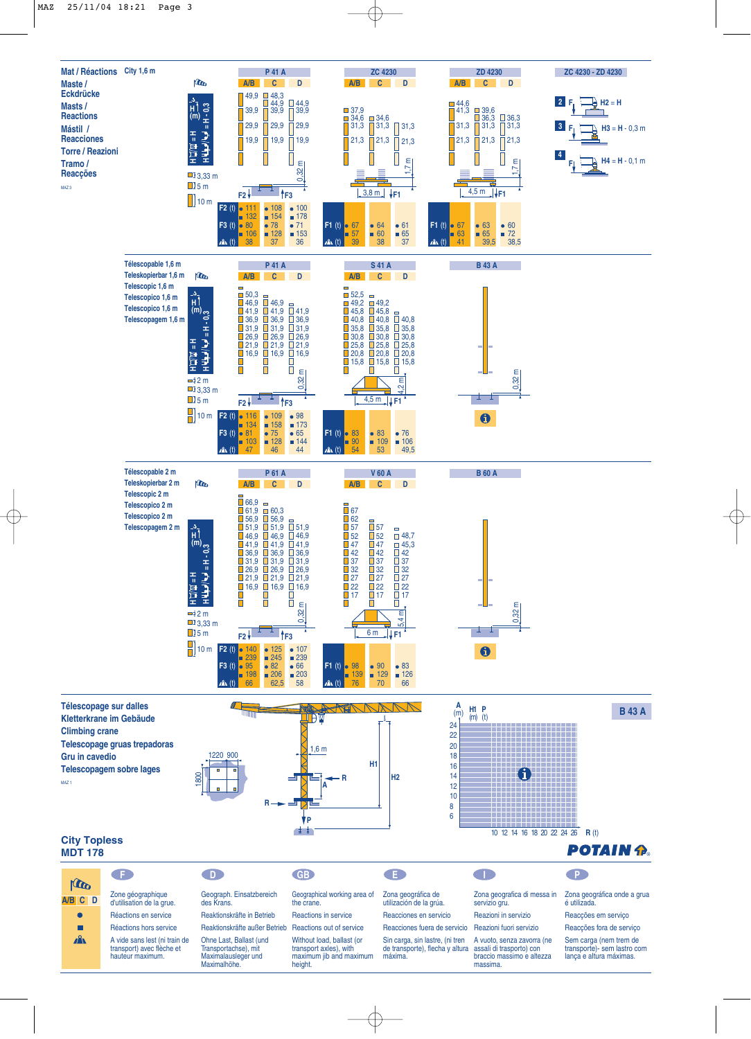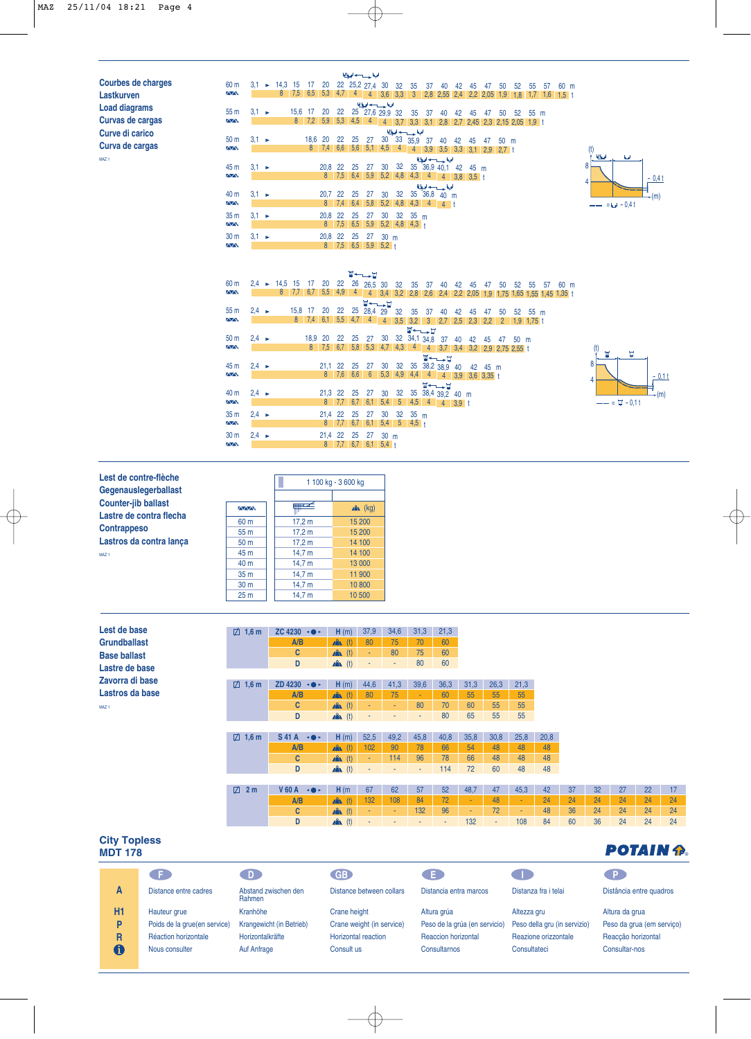| <b>Courbes de charges</b> |
|---------------------------|
| Lastkurven                |
| <b>Load diagrams</b>      |
| <b>Curvas de cargas</b>   |
| Curve di carico           |
| Curva de cargas           |
| <b>MA71</b>               |

|                                      |                   |  |                                                          |             |         |                 |     |     | الملحة حسب لحبطا                                                |                 |     |                  |  |                                                |       |    |    |                |          |      |    |      |                        |  |
|--------------------------------------|-------------------|--|----------------------------------------------------------|-------------|---------|-----------------|-----|-----|-----------------------------------------------------------------|-----------------|-----|------------------|--|------------------------------------------------|-------|----|----|----------------|----------|------|----|------|------------------------|--|
| 60 m<br>$\sim$                       |                   |  | $3,1 \rightarrow 14,3 \quad 15 \quad 17$<br>8            |             |         |                 |     |     | 20 22 25,2 27,4 30 32 35 37 40 42 45 47 50                      |                 |     |                  |  |                                                |       |    |    |                | 52       | 55   | 57 | 60 m |                        |  |
|                                      |                   |  |                                                          |             |         |                 |     |     | الملحا حسيدها                                                   |                 |     |                  |  |                                                |       |    |    |                |          |      |    |      |                        |  |
| 55 <sub>m</sub>                      | $3.1 \rightarrow$ |  |                                                          | 15,6 17     |         |                 |     |     | 20 22 25 27,6 29,9 32 35 37                                     |                 |     |                  |  | 40 42 45                                       |       |    |    | 47 50          | 52       | 55 m |    |      |                        |  |
| $\sim$                               |                   |  |                                                          | 8           |         | $7.2$ 5.9       |     |     | $5,3$ 4,5 4                                                     |                 |     |                  |  | 4 3,7 3,3 3,1 2,8 2,7 2,45 2,3 2,15 2,05 1,9 t |       |    |    |                |          |      |    |      |                        |  |
|                                      | الملحط حسيدها     |  |                                                          |             |         |                 |     |     |                                                                 |                 |     |                  |  |                                                |       |    |    |                |          |      |    |      |                        |  |
| 50 m                                 | $3.1 \rightarrow$ |  |                                                          |             | 18,6 20 |                 | 22  | 25  |                                                                 |                 |     | 27 30 33 35,9 37 |  | 40                                             | 42    | 45 | 47 | $50 \text{ m}$ |          |      |    |      |                        |  |
| $\sim$                               |                   |  |                                                          |             | 8       |                 |     |     | 7,4 6,6 5,6 5,1 4,5 4                                           |                 |     |                  |  | 4 3.9 3.5 3.3 3.1 2.9 2.7 t                    |       |    |    |                |          |      |    |      | (t)                    |  |
|                                      |                   |  |                                                          |             |         |                 |     |     |                                                                 |                 |     |                  |  | الملحا حسيدها                                  |       |    |    |                |          |      |    |      | المعالمة<br><b>b</b> d |  |
| 45 m                                 | $3.1 \rightarrow$ |  |                                                          |             |         | 20,8 22         |     | 25  | 27                                                              | 30              |     |                  |  | 32    35    36,9    40,1    42    45    m      |       |    |    |                |          |      |    |      | 8                      |  |
| $\sim$                               |                   |  |                                                          |             |         | 8               | 7,5 |     | $6.4$ 5.9                                                       | 5,2             | 4,8 |                  |  | 4,3 4 4 3,8 3,5 t                              |       |    |    |                |          |      |    |      |                        |  |
|                                      |                   |  |                                                          |             |         |                 |     |     |                                                                 |                 |     |                  |  | اللواجس راموا                                  |       |    |    |                |          |      |    |      | 4                      |  |
| 40 m                                 | $3.1 \rightarrow$ |  |                                                          |             |         | 20,7 22         |     | 25  |                                                                 |                 |     |                  |  | 27 30 32 35 36,8 40 m                          |       |    |    |                |          |      |    |      |                        |  |
| $\overline{\wedge}\overline{\wedge}$ |                   |  |                                                          |             |         | 8 <sup>°</sup>  | 7.4 | 6,4 | 5.8                                                             | 5,2             |     |                  |  | $4,8$ 4,3 4 4 t                                |       |    |    |                |          |      |    |      | $- = - - 0.4t$         |  |
| 35 <sub>m</sub>                      | $3.1 \rightarrow$ |  |                                                          |             |         | 20,8 22         |     | 25  | 27                                                              | 30              |     | $32 \t35 m$      |  |                                                |       |    |    |                |          |      |    |      |                        |  |
| $\sim$                               |                   |  |                                                          |             |         | 8               |     |     | $7,5$ 6.5 5.9                                                   |                 |     | $5,2$ 4,8 4,3 +  |  |                                                |       |    |    |                |          |      |    |      |                        |  |
| 30 m                                 | $3.1 \rightarrow$ |  |                                                          |             |         | 20,8 22         |     | 25  | 27                                                              | 30 <sub>m</sub> |     |                  |  |                                                |       |    |    |                |          |      |    |      |                        |  |
| $\sim$                               |                   |  |                                                          |             |         |                 |     |     | 8 7,5 6,5 5,9 5,2 t                                             |                 |     |                  |  |                                                |       |    |    |                |          |      |    |      |                        |  |
|                                      |                   |  |                                                          |             |         |                 |     |     |                                                                 |                 |     |                  |  |                                                |       |    |    |                |          |      |    |      |                        |  |
|                                      |                   |  |                                                          |             |         |                 |     |     |                                                                 |                 |     |                  |  |                                                |       |    |    |                |          |      |    |      |                        |  |
|                                      |                   |  |                                                          |             |         |                 |     |     |                                                                 |                 |     |                  |  |                                                |       |    |    |                |          |      |    |      |                        |  |
|                                      |                   |  |                                                          |             |         |                 |     |     | <b>W←→⊔</b>                                                     |                 |     |                  |  |                                                |       |    |    |                |          |      |    |      |                        |  |
| 60 m                                 |                   |  | $2,4 \rightarrow 14,5 \quad 15 \quad 17$<br>$\mathsf{R}$ |             |         | 20              | 22  |     | 26 26,5 30                                                      |                 |     | 32 35 37         |  |                                                | 40 42 | 45 | 47 | 50             | 52 55 57 |      |    | 60 m |                        |  |
| $\sim$                               |                   |  |                                                          | $7.7 \ 6.7$ |         | $5.5 \quad 4.9$ |     |     | 4 4 3,4 3,2 2,8 2,6 2,4 2,2 2,05 1,9 1,75 1,65 1,55 1,45 1,35 t |                 |     |                  |  |                                                |       |    |    |                |          |      |    |      |                        |  |
|                                      |                   |  |                                                          |             |         |                 |     |     | <b>घ+—⊥</b> घ                                                   |                 |     |                  |  |                                                |       |    |    |                |          |      |    |      |                        |  |

(m) - 0,4 t

 $\stackrel{\text{r}}{\rightarrow}$ (m)

 $--- = \pm -0.1$  t

 $\mathbf{w}$ 

Ħ.

 $-0,11$ 

| 55 <sub>m</sub>        | $2.4 \rightarrow$ |  | 15,8 17 20 |                         |                 | 22 25 28,4 29 32 35 37                                    |                     |         |        | 40                         | 42 | 45 | 47 | 50                                       |      | 52 55 m |  |  |                |
|------------------------|-------------------|--|------------|-------------------------|-----------------|-----------------------------------------------------------|---------------------|---------|--------|----------------------------|----|----|----|------------------------------------------|------|---------|--|--|----------------|
| $\overline{N}$         |                   |  |            | $8 \quad 7,4 \quad 6,1$ |                 | $5,5$ 4,7 4                                               |                     |         |        |                            |    |    |    | 4 3,5 3,2 3 2,7 2,5 2,3 2,2 2 1,9 1,75 t |      |         |  |  |                |
|                        |                   |  |            |                         |                 |                                                           |                     |         | ⊻←–––⊔ |                            |    |    |    |                                          |      |         |  |  |                |
| 50 <sub>m</sub>        | $2.4 \rightarrow$ |  |            | 18,9 20                 | 22 25           | 27 30 32 34,1 34,8 37                                     |                     |         |        |                            | 40 | 42 |    | 45 47                                    | 50 m |         |  |  |                |
| <b>AAN</b>             |                   |  |            |                         |                 | 8 7,5 6,7 5,8 5,3 4,7 4,3 4 4 3,7 3,4 3,2 2,9 2,75 2,55 t |                     |         |        |                            |    |    |    |                                          |      |         |  |  | ( t )          |
|                        |                   |  |            |                         |                 |                                                           |                     |         |        | <b>घ∼—</b> –घ              |    |    |    |                                          |      |         |  |  |                |
| 45 m                   | $2.4 \rightarrow$ |  |            | 21,1 22 25 27           |                 |                                                           | 30                  |         |        | 32 35 38,2 38,9 40 42 45 m |    |    |    |                                          |      |         |  |  | $\overline{8}$ |
| $\overline{\triangle}$ |                   |  |            |                         | 8 7,6 6,6       | $-6$                                                      |                     |         |        |                            |    |    |    |                                          |      |         |  |  |                |
|                        |                   |  |            |                         |                 |                                                           |                     |         |        | <b>W←∟ D</b>               |    |    |    |                                          |      |         |  |  | 4 <sup>1</sup> |
| 40 m                   | $2.4 \rightarrow$ |  |            | 21,3 22 25 27           |                 |                                                           |                     |         |        | 30 32 35 38,4 39.2 40 m    |    |    |    |                                          |      |         |  |  |                |
| $\Delta \Delta$        |                   |  |            |                         |                 | 8 7,7 6,7 6,1 5,4 5 4,5 4 4 3.9 t                         |                     |         |        |                            |    |    |    |                                          |      |         |  |  |                |
| 35 <sub>m</sub>        | $2.4 \rightarrow$ |  |            | 21.4 22 25              |                 | - 27                                                      | 30                  | 32 35 m |        |                            |    |    |    |                                          |      |         |  |  |                |
| $\sim$                 |                   |  |            |                         |                 | 8 7,7 6,7 6,1 5,4 5 4,5 t                                 |                     |         |        |                            |    |    |    |                                          |      |         |  |  |                |
|                        |                   |  |            |                         |                 |                                                           |                     |         |        |                            |    |    |    |                                          |      |         |  |  |                |
| 30 <sub>m</sub>        | $2.4 \rightarrow$ |  |            | 21.4 22 25              |                 | -27                                                       | $30 \text{ m}$      |         |        |                            |    |    |    |                                          |      |         |  |  |                |
| $\sim$                 |                   |  |            |                         | $8$ 7,7 6,7 6,1 |                                                           | $\vert 5,4 \vert$ + |         |        |                            |    |    |    |                                          |      |         |  |  |                |

| Lest de contre-flèche      |
|----------------------------|
| Gegenauslegerballast       |
| <b>Counter-jib ballast</b> |
| Lastre de contra flecha    |
| <b>Contrappeso</b>         |
| Lastros da contra lança    |
| <b>MA71</b>                |

**Lest de base Grundballast Base ballast Lastre de base Zavorra di base Lastros da base**

MAZ 1

| Lest de contre-flèche                                 | 1 100 kg - 3 600 kg |        |            |  |  |
|-------------------------------------------------------|---------------------|--------|------------|--|--|
| Gegenauslegerballast                                  |                     |        |            |  |  |
| <b>Counter-jib ballast</b><br>Lastre de contra flecha | $\sim$              |        | $x^2$ (kg) |  |  |
|                                                       | 60 m                | 17.2 m | 15 200     |  |  |
| Contrappeso                                           | 55 m                | 17.2 m | 15 200     |  |  |
| Lastros da contra lanca                               | 50 <sub>m</sub>     | 17.2 m | 14 100     |  |  |
| <b>MA71</b>                                           | 45 m                | 14,7 m | 14 100     |  |  |
|                                                       | 40 m                | 14,7 m | 13 000     |  |  |
|                                                       | 35 <sub>m</sub>     | 14.7 m | 11 900     |  |  |
|                                                       | 30 <sub>m</sub>     | 14.7 m | 10800      |  |  |
|                                                       | 25 <sub>m</sub>     | 14,7 m | 10 500     |  |  |

| $\boxtimes$ 1.6 m | ZC 4230 $\rightarrow$        | H(m)               | 37.9   | 34,6   | 31,3   | 21,3 |        |      |        |      |    |    |    |    |    |
|-------------------|------------------------------|--------------------|--------|--------|--------|------|--------|------|--------|------|----|----|----|----|----|
|                   | A/B                          | $A$ $(h)$          | 80     | 75     | 70     | 60   |        |      |        |      |    |    |    |    |    |
|                   | C                            | $\mathbf{A}$ (t)   | ٠      | 80     | 75     | 60   |        |      |        |      |    |    |    |    |    |
|                   | D                            | $\mathbf{A}$ (t)   | ٠      | ٠      | 80     | 60   |        |      |        |      |    |    |    |    |    |
|                   |                              |                    |        |        |        |      |        |      |        |      |    |    |    |    |    |
| $\boxtimes$ 1.6 m | ZD 4230 $\rightarrow$        | H(m)               | 44,6   | 41,3   | 39,6   | 36,3 | 31,3   | 26,3 | 21,3   |      |    |    |    |    |    |
|                   | A/B                          | $\mathbf{A}$ $(t)$ | 80     | 75     | $\sim$ | 60   | 55     | 55   | 55     |      |    |    |    |    |    |
|                   | C                            | $\mathbf{A}$ (t)   | ٠      | ×      | 80     | 70   | 60     | 55   | 55     |      |    |    |    |    |    |
|                   |                              |                    |        |        |        |      |        |      |        |      |    |    |    |    |    |
|                   | D                            | $\mathbf{A}$ (t)   | ٠      | ٠      | ٠      | 80   | 65     | 55   | 55     |      |    |    |    |    |    |
|                   |                              |                    |        |        |        |      |        |      |        |      |    |    |    |    |    |
| $\boxtimes$ 1.6 m | $S41A \cdot \bullet$         | H(m)               | 52,5   | 49,2   | 45,8   | 40,8 | 35,8   | 30,8 | 25,8   | 20,8 |    |    |    |    |    |
|                   | A/B                          | (t)<br><b>A</b>    | 102    | 90     | 78     | 66   | 54     | 48   | 48     | 48   |    |    |    |    |    |
|                   | C                            | (t)<br>A           | $\sim$ | 114    | 96     | 78   | 66     | 48   | 48     | 48   |    |    |    |    |    |
|                   | D                            | $\mathbf{A}$ (t)   | ٠      | $\sim$ | $\sim$ | 114  | 72     | 60   | 48     | 48   |    |    |    |    |    |
|                   |                              |                    |        |        |        |      |        |      |        |      |    |    |    |    |    |
| $\Box$ 2 m        | <b>V60A</b><br>$\rightarrow$ | H(m)               | 67     | 62     | 57     | 52   | 48,7   | 47   | 45,3   | 42   | 37 | 32 | 27 | 22 | 17 |
|                   | A/B                          | <b>ARA</b><br>(t)  | 132    | 108    | 84     | 72   | $\sim$ | 48   | $\sim$ | 24   | 24 | 24 | 24 | 24 | 24 |
|                   | C                            | $\mathbf{A}$ (t)   |        | ٠      | 132    | 96   | ÷      | 72   | ÷.     | 48   | 36 | 24 | 24 | 24 | 24 |

## **City Topless MDT 178**

| <b>City Topless</b><br><b>MDT 178</b> | <b>POTAIN P.</b>             |                                |                            |                               |                              |                           |
|---------------------------------------|------------------------------|--------------------------------|----------------------------|-------------------------------|------------------------------|---------------------------|
|                                       |                              | $\Box$ D                       | <b>GB</b>                  | Œ                             |                              |                           |
| A                                     | Distance entre cadres        | Abstand zwischen den<br>Rahmen | Distance between collars   | Distancia entra marcos        | Distanza fra i telai         | Distância entre quadros   |
| <b>H1</b>                             | Hauteur grue                 | Kranhöhe                       | Crane height               | Altura grúa                   | Altezza gru                  | Altura da grua            |
| P                                     | Poids de la grue(en service) | Krangewicht (in Betrieb)       | Crane weight (in service)  | Peso de la grúa (en servicio) | Peso della gru (in servizio) | Peso da grua (em serviço) |
| R                                     | Réaction horizontale         | Horizontalkräfte               | <b>Horizontal reaction</b> | <b>Reaccion horizontal</b>    | Reazione orizzontale         | Reaccão horizontal        |
| 0                                     | Nous consulter               | Auf Anfrage                    | Consult us                 | Consultarnos                  | Consultateci                 | Consultar-nos             |